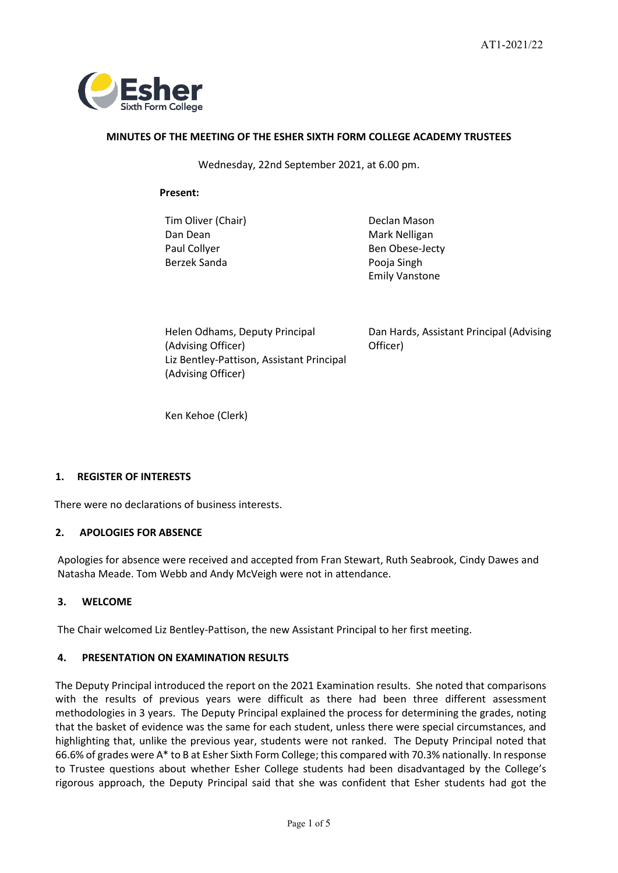

## **MINUTES OF THE MEETING OF THE ESHER SIXTH FORM COLLEGE ACADEMY TRUSTEES**

Wednesday, 22nd September 2021, at 6.00 pm.

## **Present:**

Tim Oliver (Chair) **Declan Mason** Dan Dean Mark Nelligan Berzek Sanda **Poola** Pooja Singh

Paul Collyer **Ben Obese-Jecty** Emily Vanstone

Helen Odhams, Deputy Principal (Advising Officer) Liz Bentley-Pattison, Assistant Principal (Advising Officer)

Dan Hards, Assistant Principal (Advising Officer)

Ken Kehoe (Clerk)

# **1. REGISTER OF INTERESTS**

There were no declarations of business interests.

# **2. APOLOGIES FOR ABSENCE**

Apologies for absence were received and accepted from Fran Stewart, Ruth Seabrook, Cindy Dawes and Natasha Meade. Tom Webb and Andy McVeigh were not in attendance.

# **3. WELCOME**

The Chair welcomed Liz Bentley-Pattison, the new Assistant Principal to her first meeting.

# **4. PRESENTATION ON EXAMINATION RESULTS**

The Deputy Principal introduced the report on the 2021 Examination results. She noted that comparisons with the results of previous years were difficult as there had been three different assessment methodologies in 3 years. The Deputy Principal explained the process for determining the grades, noting that the basket of evidence was the same for each student, unless there were special circumstances, and highlighting that, unlike the previous year, students were not ranked. The Deputy Principal noted that 66.6% of grades were A\* to B at Esher Sixth Form College; this compared with 70.3% nationally. In response to Trustee questions about whether Esher College students had been disadvantaged by the College's rigorous approach, the Deputy Principal said that she was confident that Esher students had got the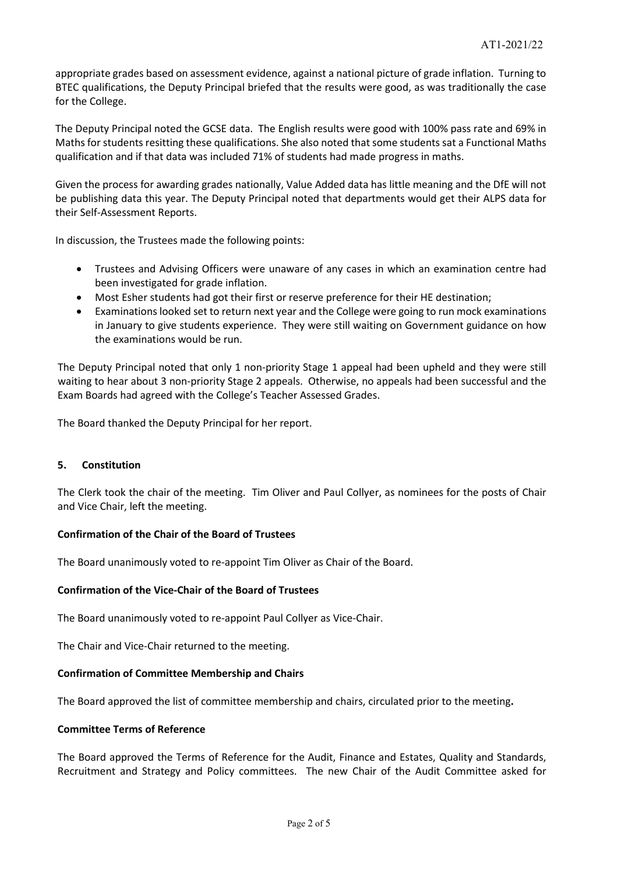appropriate grades based on assessment evidence, against a national picture of grade inflation. Turning to BTEC qualifications, the Deputy Principal briefed that the results were good, as was traditionally the case for the College.

The Deputy Principal noted the GCSE data. The English results were good with 100% pass rate and 69% in Maths for students resitting these qualifications. She also noted that some students sat a Functional Maths qualification and if that data was included 71% of students had made progress in maths.

Given the process for awarding grades nationally, Value Added data has little meaning and the DfE will not be publishing data this year. The Deputy Principal noted that departments would get their ALPS data for their Self-Assessment Reports.

In discussion, the Trustees made the following points:

- Trustees and Advising Officers were unaware of any cases in which an examination centre had been investigated for grade inflation.
- Most Esher students had got their first or reserve preference for their HE destination;
- Examinations looked set to return next year and the College were going to run mock examinations in January to give students experience. They were still waiting on Government guidance on how the examinations would be run.

The Deputy Principal noted that only 1 non-priority Stage 1 appeal had been upheld and they were still waiting to hear about 3 non-priority Stage 2 appeals. Otherwise, no appeals had been successful and the Exam Boards had agreed with the College's Teacher Assessed Grades.

The Board thanked the Deputy Principal for her report.

## **5. Constitution**

The Clerk took the chair of the meeting. Tim Oliver and Paul Collyer, as nominees for the posts of Chair and Vice Chair, left the meeting.

## **Confirmation of the Chair of the Board of Trustees**

The Board unanimously voted to re-appoint Tim Oliver as Chair of the Board.

## **Confirmation of the Vice-Chair of the Board of Trustees**

The Board unanimously voted to re-appoint Paul Collyer as Vice-Chair.

The Chair and Vice-Chair returned to the meeting.

## **Confirmation of Committee Membership and Chairs**

The Board approved the list of committee membership and chairs, circulated prior to the meeting**.**

## **Committee Terms of Reference**

The Board approved the Terms of Reference for the Audit, Finance and Estates, Quality and Standards, Recruitment and Strategy and Policy committees. The new Chair of the Audit Committee asked for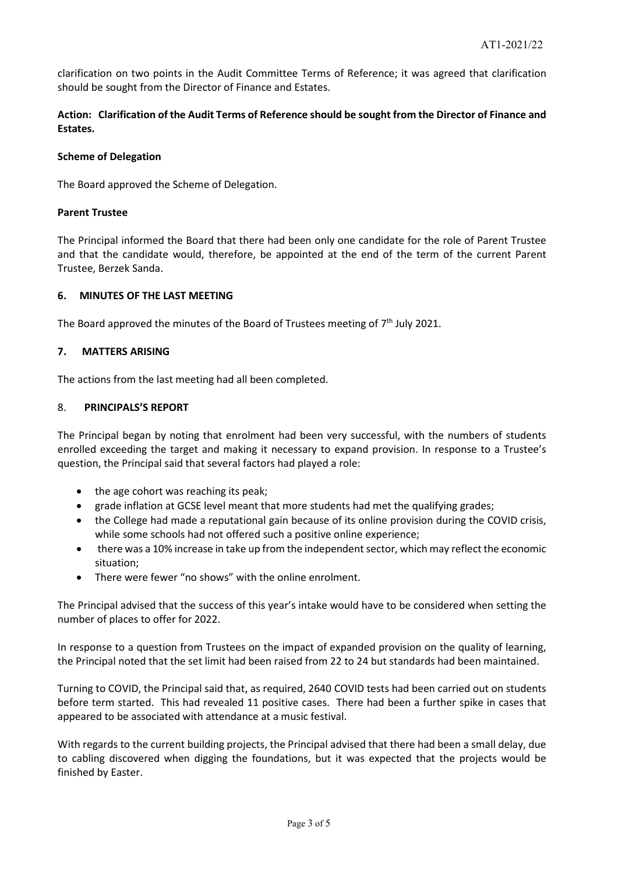clarification on two points in the Audit Committee Terms of Reference; it was agreed that clarification should be sought from the Director of Finance and Estates.

**Action: Clarification of the Audit Terms of Reference should be sought from the Director of Finance and Estates.**

## **Scheme of Delegation**

The Board approved the Scheme of Delegation.

## **Parent Trustee**

The Principal informed the Board that there had been only one candidate for the role of Parent Trustee and that the candidate would, therefore, be appointed at the end of the term of the current Parent Trustee, Berzek Sanda.

## **6. MINUTES OF THE LAST MEETING**

The Board approved the minutes of the Board of Trustees meeting of  $7<sup>th</sup>$  July 2021.

# **7. MATTERS ARISING**

The actions from the last meeting had all been completed.

## 8. **PRINCIPALS'S REPORT**

The Principal began by noting that enrolment had been very successful, with the numbers of students enrolled exceeding the target and making it necessary to expand provision. In response to a Trustee's question, the Principal said that several factors had played a role:

- the age cohort was reaching its peak;
- grade inflation at GCSE level meant that more students had met the qualifying grades;
- the College had made a reputational gain because of its online provision during the COVID crisis, while some schools had not offered such a positive online experience;
- there was a 10% increase in take up from the independent sector, which may reflect the economic situation;
- There were fewer "no shows" with the online enrolment.

The Principal advised that the success of this year's intake would have to be considered when setting the number of places to offer for 2022.

In response to a question from Trustees on the impact of expanded provision on the quality of learning, the Principal noted that the set limit had been raised from 22 to 24 but standards had been maintained.

Turning to COVID, the Principal said that, as required, 2640 COVID tests had been carried out on students before term started. This had revealed 11 positive cases. There had been a further spike in cases that appeared to be associated with attendance at a music festival.

With regards to the current building projects, the Principal advised that there had been a small delay, due to cabling discovered when digging the foundations, but it was expected that the projects would be finished by Easter.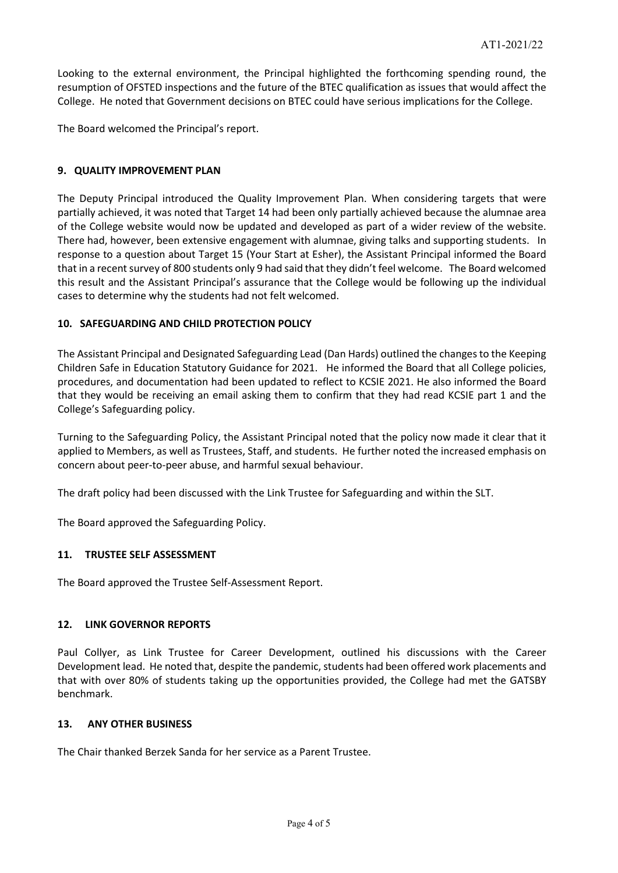Looking to the external environment, the Principal highlighted the forthcoming spending round, the resumption of OFSTED inspections and the future of the BTEC qualification as issues that would affect the College. He noted that Government decisions on BTEC could have serious implications for the College.

The Board welcomed the Principal's report.

## **9. QUALITY IMPROVEMENT PLAN**

The Deputy Principal introduced the Quality Improvement Plan. When considering targets that were partially achieved, it was noted that Target 14 had been only partially achieved because the alumnae area of the College website would now be updated and developed as part of a wider review of the website. There had, however, been extensive engagement with alumnae, giving talks and supporting students. In response to a question about Target 15 (Your Start at Esher), the Assistant Principal informed the Board that in a recent survey of 800 students only 9 had said that they didn't feel welcome. The Board welcomed this result and the Assistant Principal's assurance that the College would be following up the individual cases to determine why the students had not felt welcomed.

# **10. SAFEGUARDING AND CHILD PROTECTION POLICY**

The Assistant Principal and Designated Safeguarding Lead (Dan Hards) outlined the changes to the Keeping Children Safe in Education Statutory Guidance for 2021. He informed the Board that all College policies, procedures, and documentation had been updated to reflect to KCSIE 2021. He also informed the Board that they would be receiving an email asking them to confirm that they had read KCSIE part 1 and the College's Safeguarding policy.

Turning to the Safeguarding Policy, the Assistant Principal noted that the policy now made it clear that it applied to Members, as well as Trustees, Staff, and students. He further noted the increased emphasis on concern about peer-to-peer abuse, and harmful sexual behaviour.

The draft policy had been discussed with the Link Trustee for Safeguarding and within the SLT.

The Board approved the Safeguarding Policy.

# **11. TRUSTEE SELF ASSESSMENT**

The Board approved the Trustee Self-Assessment Report.

## **12. LINK GOVERNOR REPORTS**

Paul Collyer, as Link Trustee for Career Development, outlined his discussions with the Career Development lead. He noted that, despite the pandemic, students had been offered work placements and that with over 80% of students taking up the opportunities provided, the College had met the GATSBY benchmark.

## **13. ANY OTHER BUSINESS**

The Chair thanked Berzek Sanda for her service as a Parent Trustee.